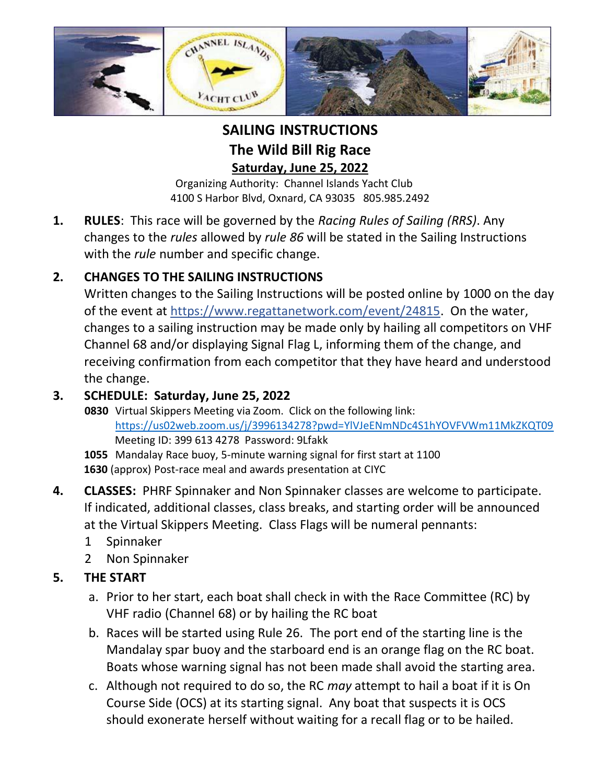

**SAILING INSTRUCTIONS The Wild Bill Rig Race Saturday, June 25, 2022**

Organizing Authority: Channel Islands Yacht Club 4100 S Harbor Blvd, Oxnard, CA 93035 805.985.2492

**1. RULES**: This race will be governed by the *Racing Rules of Sailing (RRS)*. Any changes to the *rules* allowed by *rule 86* will be stated in the Sailing Instructions with the *rule* number and specific change.

# **2. CHANGES TO THE SAILING INSTRUCTIONS**

Written changes to the Sailing Instructions will be posted online by 1000 on the day of the event at https://www.regattanetwork.com/event/24815. On the water, changes to a sailing instruction may be made only by hailing all competitors on VHF Channel 68 and/or displaying Signal Flag L, informing them of the change, and receiving confirmation from each competitor that they have heard and understood the change.

### **3. SCHEDULE: Saturday, June 25, 2022**

**0830** Virtual Skippers Meeting via Zoom. Click on the following link: <https://us02web.zoom.us/j/3996134278?pwd=YlVJeENmNDc4S1hYOVFVWm11MkZKQT09> Meeting ID: 399 613 4278 Password: 9Lfakk

**1055** Mandalay Race buoy, 5-minute warning signal for first start at 1100 **1630** (approx) Post-race meal and awards presentation at CIYC

- **4. CLASSES:** PHRF Spinnaker and Non Spinnaker classes are welcome to participate. If indicated, additional classes, class breaks, and starting order will be announced at the Virtual Skippers Meeting. Class Flags will be numeral pennants:
	- 1 Spinnaker
	- 2 Non Spinnaker

## **5. THE START**

- a. Prior to her start, each boat shall check in with the Race Committee (RC) by VHF radio (Channel 68) or by hailing the RC boat
- b. Races will be started using Rule 26. The port end of the starting line is the Mandalay spar buoy and the starboard end is an orange flag on the RC boat. Boats whose warning signal has not been made shall avoid the starting area.
- c. Although not required to do so, the RC *may* attempt to hail a boat if it is On Course Side (OCS) at its starting signal. Any boat that suspects it is OCS should exonerate herself without waiting for a recall flag or to be hailed.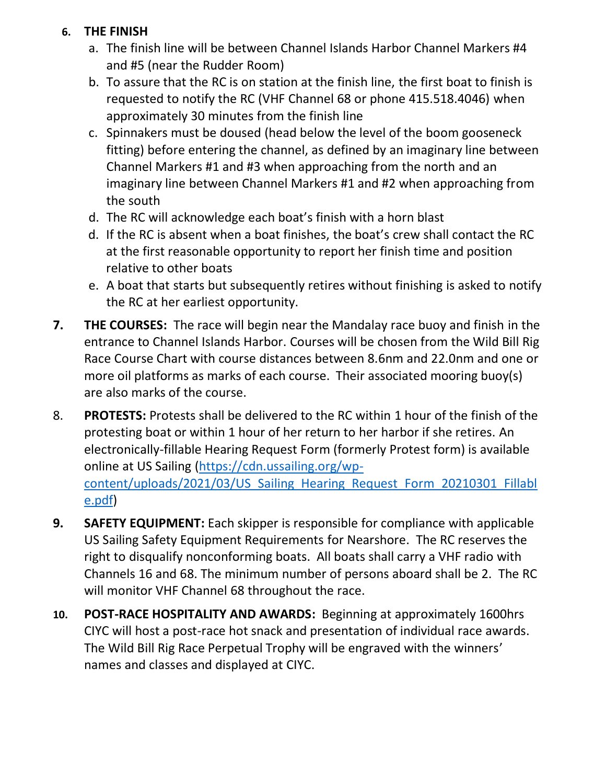#### **6. THE FINISH**

- a. The finish line will be between Channel Islands Harbor Channel Markers #4 and #5 (near the Rudder Room)
- b. To assure that the RC is on station at the finish line, the first boat to finish is requested to notify the RC (VHF Channel 68 or phone 415.518.4046) when approximately 30 minutes from the finish line
- c. Spinnakers must be doused (head below the level of the boom gooseneck fitting) before entering the channel, as defined by an imaginary line between Channel Markers #1 and #3 when approaching from the north and an imaginary line between Channel Markers #1 and #2 when approaching from the south
- d. The RC will acknowledge each boat's finish with a horn blast
- d. If the RC is absent when a boat finishes, the boat's crew shall contact the RC at the first reasonable opportunity to report her finish time and position relative to other boats
- e. A boat that starts but subsequently retires without finishing is asked to notify the RC at her earliest opportunity.
- **7. THE COURSES:** The race will begin near the Mandalay race buoy and finish in the entrance to Channel Islands Harbor. Courses will be chosen from the Wild Bill Rig Race Course Chart with course distances between 8.6nm and 22.0nm and one or more oil platforms as marks of each course. Their associated mooring buoy(s) are also marks of the course.
- 8. **PROTESTS:** Protests shall be delivered to the RC within 1 hour of the finish of the protesting boat or within 1 hour of her return to her harbor if she retires. An electronically-fillable Hearing Request Form (formerly Protest form) is available online at US Sailing [\(https://cdn.ussailing.org/wp](https://cdn.ussailing.org/wp-content/uploads/2021/03/US_Sailing_Hearing_Request_Form_20210301_Fillable.pdf)content/uploads/2021/03/US Sailing Hearing Request Form 20210301 Fillabl [e.pdf\)](https://cdn.ussailing.org/wp-content/uploads/2021/03/US_Sailing_Hearing_Request_Form_20210301_Fillable.pdf)
- **9. SAFETY EQUIPMENT:** Each skipper is responsible for compliance with applicable US Sailing Safety Equipment Requirements for Nearshore. The RC reserves the right to disqualify nonconforming boats. All boats shall carry a VHF radio with Channels 16 and 68. The minimum number of persons aboard shall be 2. The RC will monitor VHF Channel 68 throughout the race.
- **10. POST-RACE HOSPITALITY AND AWARDS:** Beginning at approximately 1600hrs CIYC will host a post-race hot snack and presentation of individual race awards. The Wild Bill Rig Race Perpetual Trophy will be engraved with the winners' names and classes and displayed at CIYC.